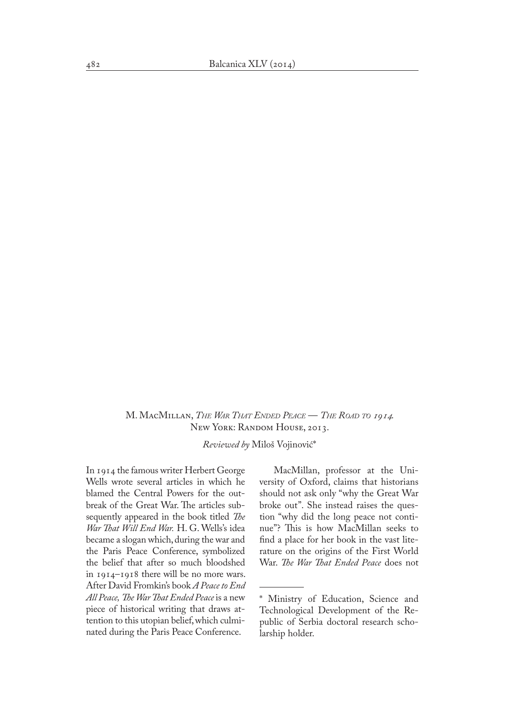M. MacMillan, *The War That Ended Peace* — *The Road to 1914*. New York: RANDOM HOUSE, 2013.

*Reviewed by* Miloš Vojinović\*

In 1914 the famous writer Herbert George Wells wrote several articles in which he blamed the Central Powers for the outbreak of the Great War. The articles subsequently appeared in the book titled *The War That Will End War.* H. G. Wells's idea became a slogan which, during the war and the Paris Peace Conference, symbolized the belief that after so much bloodshed in 1914–1918 there will be no more wars. After David Fromkin's book *A Peace to End All Peace, The War That Ended Peace* is a new piece of historical writing that draws attention to this utopian belief, which culmi� nated during the Paris Peace Conference.

MacMillan, professor at the University of Oxford, claims that historians should not ask only "why the Great War broke out". She instead raises the question "why did the long peace not conti� nue"? This is how MacMillan seeks to find a place for her book in the vast literature on the origins of the First World War. *The War That Ended Peace* does not

<sup>\*</sup> Ministry of Education, Science and Technological Development of the Republic of Serbia doctoral research scho� larship holder.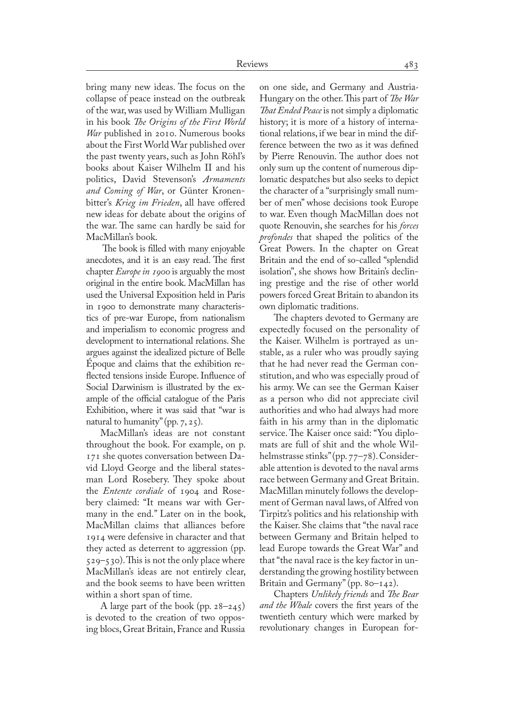bring many new ideas. The focus on the collapse of peace instead on the outbreak of the war, was used by William Mulligan in his book *The Origins of the First World War* published in 2010. Numerous books about the First World War published over the past twenty years, such as John Röhl's books about Kaiser Wilhelm II and his politics, David Stevenson's *Armaments*  and Coming of War, or Günter Kronenbitter's *Krieg im Frieden*, all have offered new ideas for debate about the origins of the war. The same can hardly be said for MacMillan's book.

 The book is filled with many enjoyable anecdotes, and it is an easy read. The first chapter *Europe in 1900* is arguably the most original in the entire book. MacMillan has used the Universal Exposition held in Paris in 1900 to demonstrate many characteristics of pre-war Europe, from nationalism and imperialism to economic progress and development to international relations. She argues against the idealized picture of Belle Époque and claims that the exhibition re� flected tensions inside Europe. Influence of Social Darwinism is illustrated by the example of the official catalogue of the Paris Exhibition, where it was said that "war is natural to humanity" (pp. 7, 25).

MacMillan's ideas are not constant throughout the book. For example, on p. 171 she quotes conversation between Da� vid Lloyd George and the liberal statesman Lord Rosebery. They spoke about the *Entente cordiale* of 1904 and Rosebery claimed: "It means war with Germany in the end." Later on in the book, MacMillan claims that alliances before 1914 were defensive in character and that they acted as deterrent to aggression (pp. 529–530). This is not the only place where MacMillan's ideas are not entirely clear, and the book seems to have been written within a short span of time.

A large part of the book (pp. 28–245) is devoted to the creation of two opposing blocs, Great Britain, France and Russia on one side, and Germany and Austria-Hungary on the other. This part of *The War That Ended Peace* is not simply a diplomatic history; it is more of a history of international relations, if we bear in mind the difference between the two as it was defined by Pierre Renouvin. The author does not only sum up the content of numerous dip� lomatic despatches but also seeks to depict the character of a "surprisingly small number of men" whose decisions took Europe to war. Even though MacMillan does not quote Renouvin, she searches for his *forces profondes* that shaped the politics of the Great Powers. In the chapter on Great Britain and the end of so-called "splendid isolation", she shows how Britain's declin� ing prestige and the rise of other world powers forced Great Britain to abandon its own diplomatic traditions.

The chapters devoted to Germany are expectedly focused on the personality of the Kaiser. Wilhelm is portrayed as unstable, as a ruler who was proudly saying that he had never read the German constitution, and who was especially proud of his army. We can see the German Kaiser as a person who did not appreciate civil authorities and who had always had more faith in his army than in the diplomatic service. The Kaiser once said: "You diplomats are full of shit and the whole Wilhelmstrasse stinks" (pp. 77–78). Considerable attention is devoted to the naval arms race between Germany and Great Britain. MacMillan minutely follows the develop� ment of German naval laws, of Alfred von Tirpitz's politics and his relationship with the Kaiser. She claims that "the naval race between Germany and Britain helped to lead Europe towards the Great War" and that "the naval race is the key factor in un� derstanding the growing hostility between Britain and Germany" (pp. 80–142).

Chapters *Unlikely friends* and *The Bear and the Whale* covers the first years of the twentieth century which were marked by revolutionary changes in European for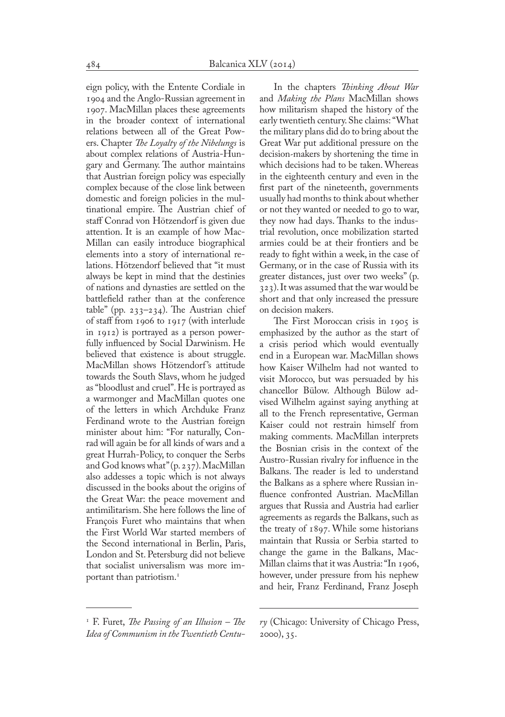eign policy, with the Entente Cordiale in 1904 and the Anglo-Russian agreement in 1907. MacMillan places these agreements in the broader context of international relations between all of the Great Pow� ers. Chapter *The Loyalty of the Nibelungs* is about complex relations of Austria-Hun� gary and Germany. The author maintains that Austrian foreign policy was especially complex because of the close link between domestic and foreign policies in the multinational empire. The Austrian chief of staff Conrad von Hötzendorf is given due attention. It is an example of how Mac-Millan can easily introduce biographical elements into a story of international relations. Hötzendorf believed that "it must always be kept in mind that the destinies of nations and dynasties are settled on the battlefield rather than at the conference table" (pp. 233–234). The Austrian chief of staff from 1906 to 1917 (with interlude in 1912) is portrayed as a person power� fully influenced by Social Darwinism. He believed that existence is about struggle. MacMillan shows Hötzendorf 's attitude towards the South Slavs, whom he judged as "bloodlust and cruel". He is portrayed as a warmonger and MacMillan quotes one of the letters in which Archduke Franz Ferdinand wrote to the Austrian foreign minister about him: "For naturally, Conrad will again be for all kinds of wars and a great Hurrah-Policy, to conquer the Serbs and God knows what" (p. 237). MacMillan also addesses a topic which is not always discussed in the books about the origins of the Great War: the peace movement and antimilitarism. She here follows the line of François Furet who maintains that when the First World War started members of the Second international in Berlin, Paris, London and St. Petersburg did not believe that socialist universalism was more im� portant than patriotism.<sup>1</sup>

In the chapters *Thinking About War*  and *Making the Plans* MacMillan shows how militarism shaped the history of the early twentieth century. She claims: "What the military plans did do to bring about the Great War put additional pressure on the decision-makers by shortening the time in which decisions had to be taken. Whereas in the eighteenth century and even in the first part of the nineteenth, governments usually had months to think about whether or not they wanted or needed to go to war, they now had days. Thanks to the industrial revolution, once mobilization started armies could be at their frontiers and be ready to fight within a week, in the case of Germany, or in the case of Russia with its greater distances, just over two weeks" (p. 323). It was assumed that the war would be short and that only increased the pressure on decision makers.

The First Moroccan crisis in 1905 is emphasized by the author as the start of a crisis period which would eventually end in a European war. MacMillan shows how Kaiser Wilhelm had not wanted to visit Morocco, but was persuaded by his chancellor Bülow. Although Bülow advised Wilhelm against saying anything at all to the French representative, German Kaiser could not restrain himself from making comments. MacMillan interprets the Bosnian crisis in the context of the Austro-Russian rivalry for influence in the Balkans. The reader is led to understand the Balkans as a sphere where Russian in� fluence confronted Austrian. MacMillan argues that Russia and Austria had earlier agreements as regards the Balkans, such as the treaty of 1897. While some historians maintain that Russia or Serbia started to change the game in the Balkans, Mac-Millan claims that it was Austria: "In 1906, however, under pressure from his nephew and heir, Franz Ferdinand, Franz Joseph

<sup>1</sup> F. Furet, *The Passing of an Illusion – The Idea of Communism in the Twentieth Centu-*

*ry* (Chicago: University of Chicago Press, 2000), 35.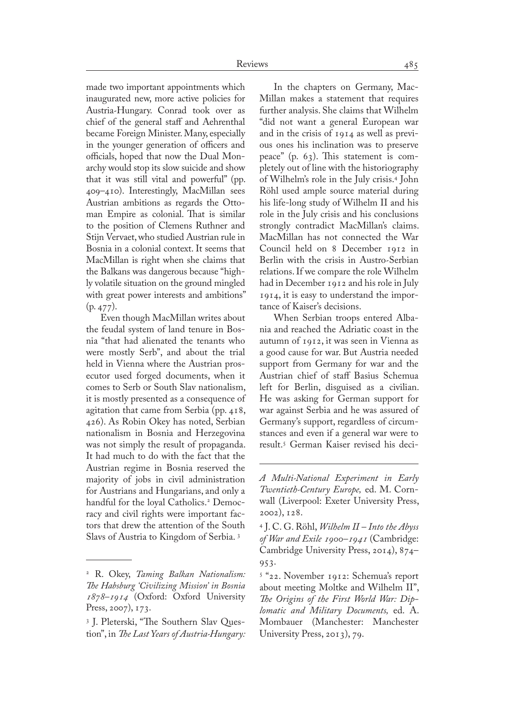made two important appointments which inaugurated new, more active policies for Austria-Hungary. Conrad took over as chief of the general staff and Aehrenthal became Foreign Minister. Many, especially in the younger generation of officers and officials, hoped that now the Dual Mon� archy would stop its slow suicide and show that it was still vital and powerful" (pp. 409–410). Interestingly, MacMillan sees Austrian ambitions as regards the Ottoman Empire as colonial. That is similar to the position of Clemens Ruthner and Stijn Vervaet, who studied Austrian rule in Bosnia in a colonial context. It seems that MacMillan is right when she claims that the Balkans was dangerous because "high� ly volatile situation on the ground mingled with great power interests and ambitions" (p. 477).

Even though MacMillan writes about the feudal system of land tenure in Bosnia "that had alienated the tenants who were mostly Serb", and about the trial held in Vienna where the Austrian prosecutor used forged documents, when it comes to Serb or South Slav nationalism, it is mostly presented as a consequence of agitation that came from Serbia (pp. 418, 426). As Robin Okey has noted, Serbian nationalism in Bosnia and Herzegovina was not simply the result of propaganda. It had much to do with the fact that the Austrian regime in Bosnia reserved the majority of jobs in civil administration for Austrians and Hungarians, and only a handful for the loyal Catholics.<sup>2</sup> Democracy and civil rights were important factors that drew the attention of the South Slavs of Austria to Kingdom of Serbia. 3

In the chapters on Germany, Mac-Millan makes a statement that requires further analysis. She claims that Wilhelm "did not want a general European war and in the crisis of 1914 as well as previous ones his inclination was to preserve peace"  $(p. 63)$ . This statement is completely out of line with the historiography of Wilhelm's role in the July crisis.4 John Röhl used ample source material during his life-long study of Wilhelm II and his role in the July crisis and his conclusions strongly contradict MacMillan's claims. MacMillan has not connected the War Council held on 8 December 1912 in Berlin with the crisis in Austro-Serbian relations. If we compare the role Wilhelm had in December 1912 and his role in July 1914, it is easy to understand the impor� tance of Kaiser's decisions.

When Serbian troops entered Albania and reached the Adriatic coast in the autumn of 1912, it was seen in Vienna as a good cause for war. But Austria needed support from Germany for war and the Austrian chief of staff Basius Schemua left for Berlin, disguised as a civilian. He was asking for German support for war against Serbia and he was assured of Germany's support, regardless of circum� stances and even if a general war were to result.<sup>5</sup> German Kaiser revised his deci-

<sup>2</sup> R. Okey, *Taming Balkan Nationalism: The Habsburg 'Civilizing Mission' in Bosnia 1878–1914* (Oxford: Oxford University Press, 2007), 173.

<sup>&</sup>lt;sup>3</sup> J. Pleterski, "The Southern Slav Question", in *The Last Years of Austria-Hungary:* 

*A Multi-National Experiment in Early Twentieth-Century Europe,* ed. M. Corn� wall (Liverpool: Exeter University Press, 2002), 128.

<sup>4</sup> J. C. G. Röhl, *Wilhelm II – Into the Abyss of War and Exile 1900–1941* (Cambridge: Cambridge University Press, 2014), 874– 953.

<sup>5</sup> "22. November 1912: Schemua's report about meeting Moltke and Wilhelm II", *The Origins of the First World War: Diplomatic and Military Documents,* ed. A. Mombauer (Manchester: Manchester University Press, 2013), 79.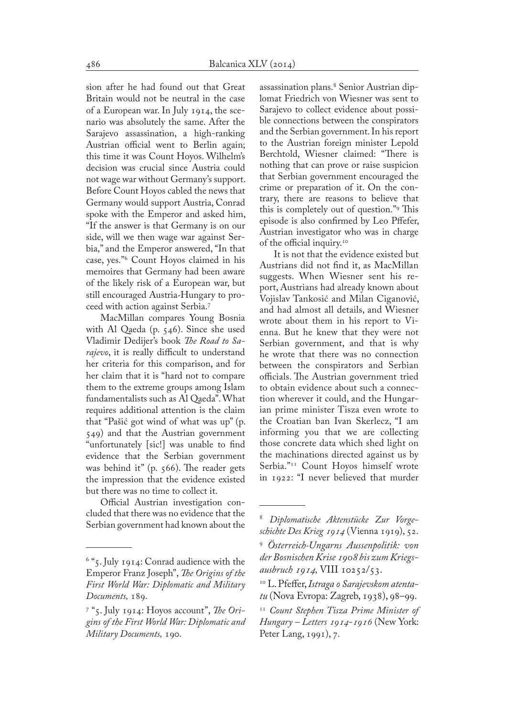sion after he had found out that Great Britain would not be neutral in the case of a European war. In July 1914, the scenario was absolutely the same. After the Sarajevo assassination, a high-ranking Austrian official went to Berlin again; this time it was Count Hoyos. Wilhelm's decision was crucial since Austria could not wage war without Germany's support. Before Count Hoyos cabled the news that Germany would support Austria, Conrad spoke with the Emperor and asked him, "If the answer is that Germany is on our side, will we then wage war against Serbia," and the Emperor answered, "In that case, yes."<sup>6</sup> Count Hoyos claimed in his memoires that Germany had been aware of the likely risk of a European war, but still encouraged Austria-Hungary to proceed with action against Serbia.7

MacMillan compares Young Bosnia with Al Qaeda (p. 546). Since she used Vladimir Dedijer's book *The Road to Sarajevo*, it is really difficult to understand her criteria for this comparison, and for her claim that it is "hard not to compare them to the extreme groups among Islam fundamentalists such as Al Qaeda". What requires additional attention is the claim that "Pašić got wind of what was up" (p. 549) and that the Austrian government "unfortunately [sic!] was unable to find evidence that the Serbian government was behind it" (p. 566). The reader gets the impression that the evidence existed but there was no time to collect it.

Official Austrian investigation concluded that there was no evidence that the Serbian government had known about the

assassination plans.<sup>8</sup> Senior Austrian diplomat Friedrich von Wiesner was sent to Sarajevo to collect evidence about possible connections between the conspirators and the Serbian government. In his report to the Austrian foreign minister Lepold Berchtold, Wiesner claimed: "There is nothing that can prove or raise suspicion that Serbian government encouraged the crime or preparation of it. On the contrary, there are reasons to believe that this is completely out of question."9 This episode is also confirmed by Leo Pffefer, Austrian investigator who was in charge of the official inquiry.10

It is not that the evidence existed but Austrians did not find it, as MacMillan suggests. When Wiesner sent his report, Austrians had already known about Vojislav Tankosić and Milan Ciganović, and had almost all details, and Wiesner wrote about them in his report to Vienna. But he knew that they were not Serbian government, and that is why he wrote that there was no connection between the conspirators and Serbian officials. The Austrian government tried to obtain evidence about such a connection wherever it could, and the Hungar� ian prime minister Tisza even wrote to the Croatian ban Ivan Skerlecz, "I am informing you that we are collecting those concrete data which shed light on the machinations directed against us by Serbia."<sup>11</sup> Count Hoyos himself wrote in 1922: "I never believed that murder

<sup>6</sup> "5. July 1914: Conrad audience with the Emperor Franz Joseph", *The Origins of the First World War: Diplomatic and Military Documents,* 189.

<sup>7</sup> "5. July 1914: Hoyos account", *The Origins of the First World War: Diplomatic and Military Documents,* 190.

<sup>8</sup> *Diplomatische Aktenstücke Zur Vorgeschichte Des Krieg 1914* (Vienna 1919), 52.

<sup>9</sup> *Österreich-Ungarns Aussenpolitik: von der Bosnischen Krise 1908 bis zum Kriegsausbruch 1914,* VIII 10252/53.

<sup>10</sup> L. Pfeffer, *Istraga o Sarajevskom atentatu* (Nova Evropa: Zagreb, 1938), 98–99.

<sup>11</sup> *Count Stephen Tisza Prime Minister of Hungary – Letters 1914-1916* (New York: Peter Lang, 1991), 7.